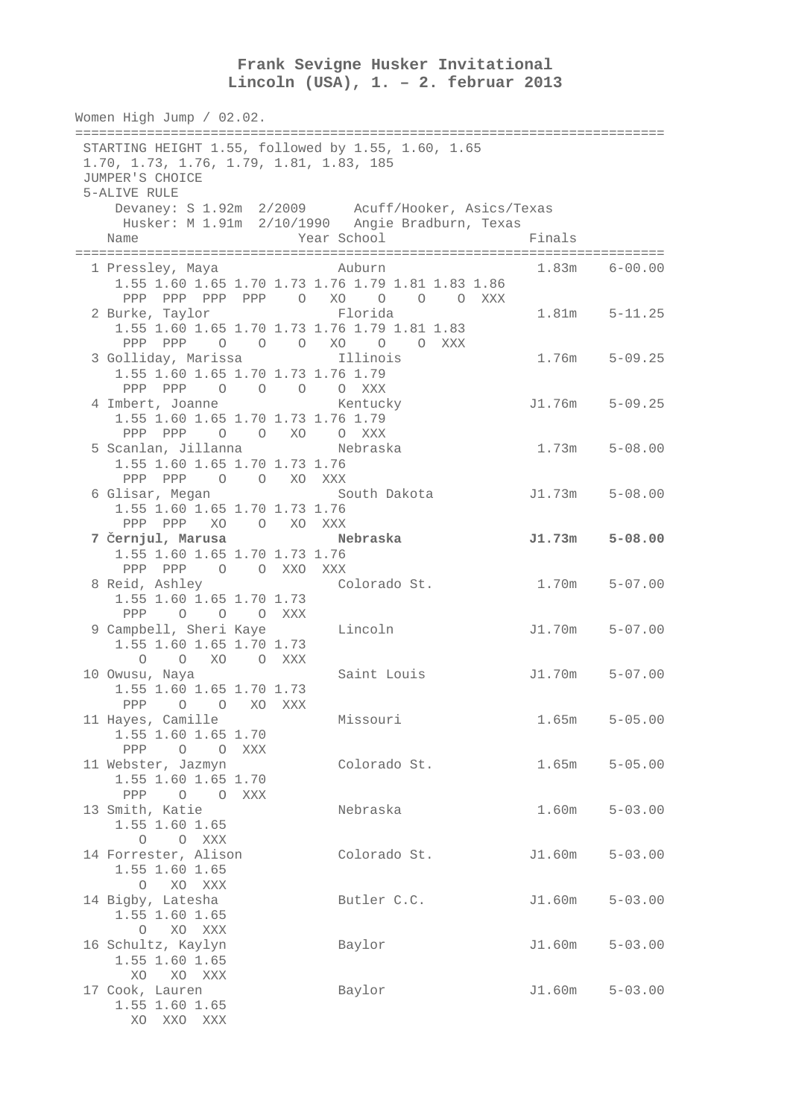## **Frank Sevigne Husker Invitational Lincoln (USA), 1. – 2. februar 2013**

Women High Jump / 02.02. ========================================================================== STARTING HEIGHT 1.55, followed by 1.55, 1.60, 1.65 1.70, 1.73, 1.76, 1.79, 1.81, 1.83, 185 JUMPER'S CHOICE 5-ALIVE RULE Devaney: S 1.92m 2/2009 Acuff/Hooker, Asics/Texas Husker: M 1.91m 2/10/1990 Angie Bradburn, Texas Name **Year School** Finals ========================================================================== 1 Pressley, Maya Auburn 1.83m 6-00.00 1.55 1.60 1.65 1.70 1.73 1.76 1.79 1.81 1.83 1.86 PPP PPP PPP O XO O O O XXX 2 Burke, Taylor Florida 1.81m 5-11.25 1.55 1.60 1.65 1.70 1.73 1.76 1.79 1.81 1.83 PPP PPP O O O XO O O XXX 3 Golliday, Marissa Illinois 1.76m 5-09.25 1.55 1.60 1.65 1.70 1.73 1.76 1.79 PPP PPP O O O O XXX 4 Imbert, Joanne Kentucky J1.76m 5-09.25 1.55 1.60 1.65 1.70 1.73 1.76 1.79 PPP PPP O O XO O XXX 5 Scanlan, Jillanna Nebraska 1.73m 5-08.00 1.55 1.60 1.65 1.70 1.73 1.76 PPP PPP O O XO XXX 6 Glisar, Megan South Dakota J1.73m 5-08.00 1.55 1.60 1.65 1.70 1.73 1.76 PPP PPP XO O XO XXX  **7** Č**ernjul, Marusa Nebraska J1.73m 5-08.00**  1.55 1.60 1.65 1.70 1.73 1.76 PPP PPP O O XXO XXX 8 Reid, Ashley Colorado St. 1.70m 5-07.00 1.55 1.60 1.65 1.70 1.73 PPP O O O XXX 9 Campbell, Sheri Kaye Lincoln J1.70m 5-07.00 1.55 1.60 1.65 1.70 1.73 O O XO O XXX 10 Owusu, Naya Saint Louis J1.70m 5-07.00 1.55 1.60 1.65 1.70 1.73 PPP O O XO XXX 11 Hayes, Camille Missouri 1.65m 5-05.00 1.55 1.60 1.65 1.70 PPP O O XXX 11 Webster, Jazmyn Colorado St. 1.65m 5-05.00 1.55 1.60 1.65 1.70 PPP O O XXX 13 Smith, Katie Nebraska 1.60m 5-03.00 1.55 1.60 1.65 O O XXX<br>14 Forrester, Alison 14 Forrester, Alison Colorado St. J1.60m 5-03.00 1.55 1.60 1.65 O XO XXX 14 Bigby, Latesha Butler C.C. J1.60m 5-03.00 1.55 1.60 1.65 O XO XXX 16 Schultz, Kaylyn Baylor J1.60m 5-03.00 1.55 1.60 1.65 XO XO XXX 17 Cook, Lauren Baylor J1.60m 5-03.00 1.55 1.60 1.65 XO XXO XXX